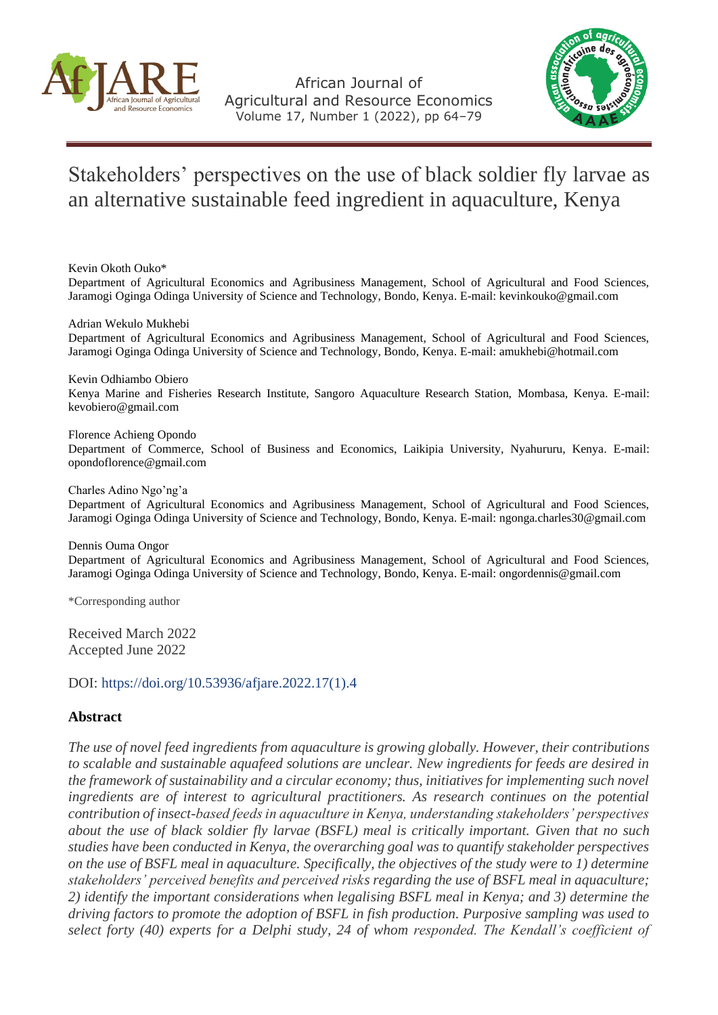

African Journal of Agricultural and Resource Economics Volume 17, Number 1 (2022), pp 64–79



# Stakeholders' perspectives on the use of black soldier fly larvae as an alternative sustainable feed ingredient in aquaculture, Kenya

Kevin Okoth Ouko\*

Department of Agricultural Economics and Agribusiness Management, School of Agricultural and Food Sciences, Jaramogi Oginga Odinga University of Science and Technology, Bondo, Kenya. E-mail: [kevinkouko@gmail.com](mailto:kevinkouko@gmail.com)

Adrian Wekulo Mukhebi

Department of Agricultural Economics and Agribusiness Management, School of Agricultural and Food Sciences, Jaramogi Oginga Odinga University of Science and Technology, Bondo, Kenya. E-mail: [amukhebi@hotmail.com](mailto:amukhebi@hotmail.com)

Kevin Odhiambo Obiero Kenya Marine and Fisheries Research Institute, Sangoro Aquaculture Research Station, Mombasa, Kenya. E-mail: [kevobiero@gmail.com](mailto:kevobiero@gmail.com)

Florence Achieng Opondo Department of Commerce, School of Business and Economics, Laikipia University, Nyahururu, Kenya. E-mail: [opondoflorence@gmail.com](mailto:opondoflorence@gmail.com)

Charles Adino Ngo'ng'a

Department of Agricultural Economics and Agribusiness Management, School of Agricultural and Food Sciences, Jaramogi Oginga Odinga University of Science and Technology, Bondo, Kenya. E-mail: [ngonga.charles30@gmail.com](mailto:ngonga.charles30@gmail.com)

Dennis Ouma Ongor Department of Agricultural Economics and Agribusiness Management, School of Agricultural and Food Sciences, Jaramogi Oginga Odinga University of Science and Technology, Bondo, Kenya. E-mail: [ongordennis@gmail.com](mailto:ongordennis@gmail.com)

\*Corresponding author

Received March 2022 Accepted June 2022

DOI: [https://doi.org/10.53936/afjare.2022.17\(1\).4](https://doi.org/10.53936/afjare.2022.17%281%29.4)

# **Abstract**

*The use of novel feed ingredients from aquaculture is growing globally. However, their contributions to scalable and sustainable aquafeed solutions are unclear. New ingredients for feeds are desired in the framework of sustainability and a circular economy; thus, initiatives for implementing such novel ingredients are of interest to agricultural practitioners. As research continues on the potential contribution of insect-based feeds in aquaculture in Kenya, understanding stakeholders' perspectives about the use of black soldier fly larvae (BSFL) meal is critically important. Given that no such studies have been conducted in Kenya, the overarching goal was to quantify stakeholder perspectives on the use of BSFL meal in aquaculture. Specifically, the objectives of the study were to 1) determine stakeholders' perceived benefits and perceived risks regarding the use of BSFL meal in aquaculture; 2) identify the important considerations when legalising BSFL meal in Kenya; and 3) determine the driving factors to promote the adoption of BSFL in fish production. Purposive sampling was used to select forty (40) experts for a Delphi study, 24 of whom responded. The Kendall's coefficient of*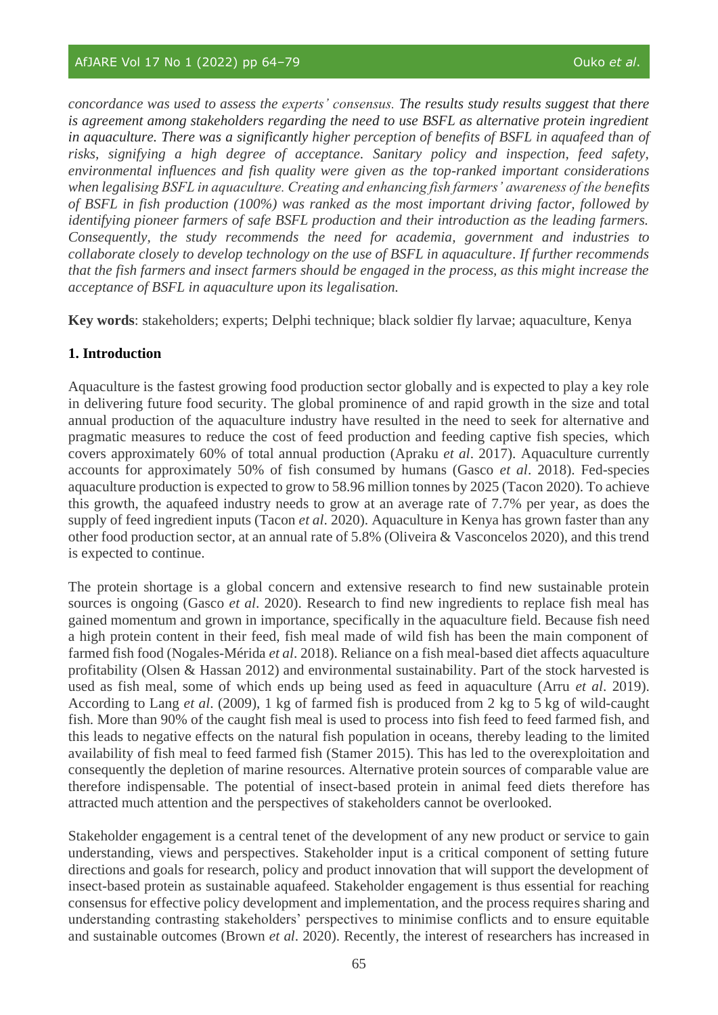*concordance was used to assess the experts' consensus. The results study results suggest that there is agreement among stakeholders regarding the need to use BSFL as alternative protein ingredient in aquaculture. There was a significantly higher perception of benefits of BSFL in aquafeed than of risks, signifying a high degree of acceptance. Sanitary policy and inspection, feed safety, environmental influences and fish quality were given as the top-ranked important considerations when legalising BSFL in aquaculture. Creating and enhancing fish farmers' awareness of the benefits of BSFL in fish production (100%) was ranked as the most important driving factor, followed by identifying pioneer farmers of safe BSFL production and their introduction as the leading farmers. Consequently, the study recommends the need for academia, government and industries to collaborate closely to develop technology on the use of BSFL in aquaculture. If further recommends that the fish farmers and insect farmers should be engaged in the process, as this might increase the acceptance of BSFL in aquaculture upon its legalisation.*

**Key words**: stakeholders; experts; Delphi technique; black soldier fly larvae; aquaculture, Kenya

# **1. Introduction**

Aquaculture is the fastest growing food production sector globally and is expected to play a key role in delivering future food security. The global prominence of and rapid growth in the size and total annual production of the aquaculture industry have resulted in the need to seek for alternative and pragmatic measures to reduce the cost of feed production and feeding captive fish species, which covers approximately 60% of total annual production (Apraku *et al*. 2017). Aquaculture currently accounts for approximately 50% of fish consumed by humans (Gasco *et al*. 2018). Fed-species aquaculture production is expected to grow to 58.96 million tonnes by 2025 (Tacon 2020). To achieve this growth, the aquafeed industry needs to grow at an average rate of 7.7% per year, as does the supply of feed ingredient inputs (Tacon *et al*. 2020). Aquaculture in Kenya has grown faster than any other food production sector, at an annual rate of 5.8% (Oliveira & Vasconcelos 2020), and this trend is expected to continue.

The protein shortage is a global concern and extensive research to find new sustainable protein sources is ongoing (Gasco *et al*. 2020). Research to find new ingredients to replace fish meal has gained momentum and grown in importance, specifically in the aquaculture field. Because fish need a high protein content in their feed, fish meal made of wild fish has been the main component of farmed fish food (Nogales-Mérida *et al*. 2018). Reliance on a fish meal-based diet affects aquaculture profitability (Olsen & Hassan 2012) and environmental sustainability. Part of the stock harvested is used as fish meal, some of which ends up being used as feed in aquaculture (Arru *et al*. 2019). According to Lang *et al*. (2009), 1 kg of farmed fish is produced from 2 kg to 5 kg of wild-caught fish. More than 90% of the caught fish meal is used to process into fish feed to feed farmed fish, and this leads to negative effects on the natural fish population in oceans, thereby leading to the limited availability of fish meal to feed farmed fish (Stamer 2015). This has led to the overexploitation and consequently the depletion of marine resources. Alternative protein sources of comparable value are therefore indispensable. The potential of insect-based protein in animal feed diets therefore has attracted much attention and the perspectives of stakeholders cannot be overlooked.

Stakeholder engagement is a central tenet of the development of any new product or service to gain understanding, views and perspectives. Stakeholder input is a critical component of setting future directions and goals for research, policy and product innovation that will support the development of insect-based protein as sustainable aquafeed. Stakeholder engagement is thus essential for reaching consensus for effective policy development and implementation, and the process requires sharing and understanding contrasting stakeholders' perspectives to minimise conflicts and to ensure equitable and sustainable outcomes (Brown *et al*. 2020). Recently, the interest of researchers has increased in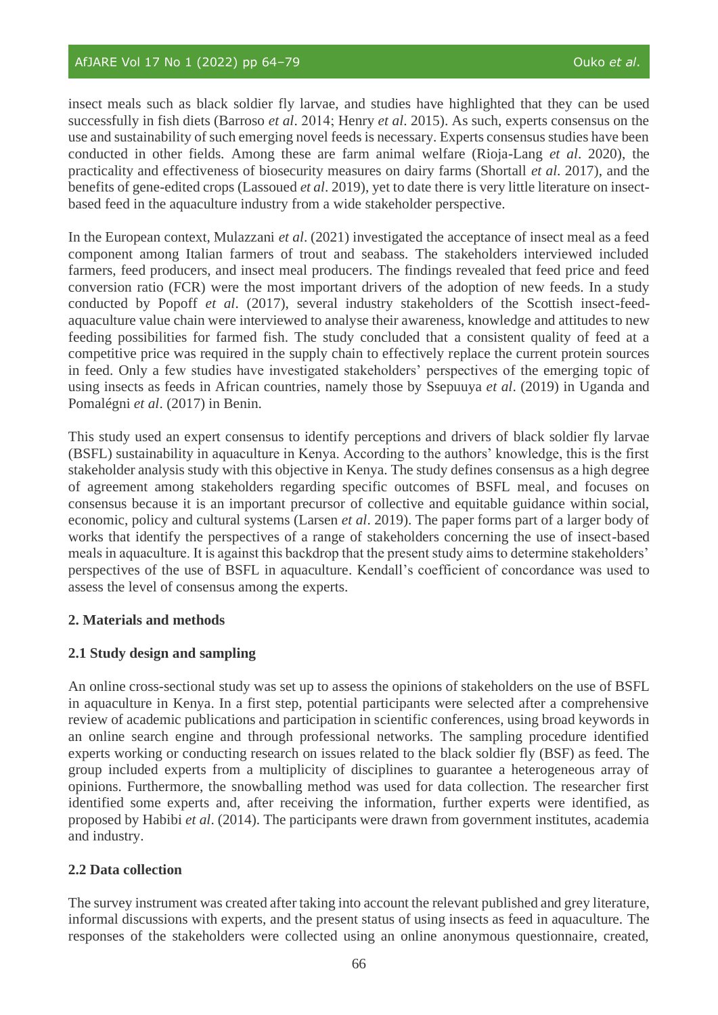insect meals such as black soldier fly larvae, and studies have highlighted that they can be used successfully in fish diets (Barroso *et al*. 2014; Henry *et al*. 2015). As such, experts consensus on the use and sustainability of such emerging novel feeds is necessary. Experts consensus studies have been conducted in other fields. Among these are farm animal welfare (Rioja-Lang *et al*. 2020), the practicality and effectiveness of biosecurity measures on dairy farms (Shortall *et al*. 2017), and the benefits of gene-edited crops (Lassoued *et al*. 2019), yet to date there is very little literature on insectbased feed in the aquaculture industry from a wide stakeholder perspective.

In the European context, Mulazzani *et al*. (2021) investigated the acceptance of insect meal as a feed component among Italian farmers of trout and seabass. The stakeholders interviewed included farmers, feed producers, and insect meal producers. The findings revealed that feed price and feed conversion ratio (FCR) were the most important drivers of the adoption of new feeds. In a study conducted by Popoff *et al*. (2017), several industry stakeholders of the Scottish insect-feedaquaculture value chain were interviewed to analyse their awareness, knowledge and attitudes to new feeding possibilities for farmed fish. The study concluded that a consistent quality of feed at a competitive price was required in the supply chain to effectively replace the current protein sources in feed. Only a few studies have investigated stakeholders' perspectives of the emerging topic of using insects as feeds in African countries, namely those by Ssepuuya *et al*. (2019) in Uganda and Pomalégni *et al*. (2017) in Benin.

This study used an expert consensus to identify perceptions and drivers of black soldier fly larvae (BSFL) sustainability in aquaculture in Kenya. According to the authors' knowledge, this is the first stakeholder analysis study with this objective in Kenya. The study defines consensus as a high degree of agreement among stakeholders regarding specific outcomes of BSFL meal, and focuses on consensus because it is an important precursor of collective and equitable guidance within social, economic, policy and cultural systems (Larsen *et al*. 2019). The paper forms part of a larger body of works that identify the perspectives of a range of stakeholders concerning the use of insect-based meals in aquaculture. It is against this backdrop that the present study aims to determine stakeholders' perspectives of the use of BSFL in aquaculture. Kendall's coefficient of concordance was used to assess the level of consensus among the experts.

# **2. Materials and methods**

# **2.1 Study design and sampling**

An online cross-sectional study was set up to assess the opinions of stakeholders on the use of BSFL in aquaculture in Kenya. In a first step, potential participants were selected after a comprehensive review of academic publications and participation in scientific conferences, using broad keywords in an online search engine and through professional networks. The sampling procedure identified experts working or conducting research on issues related to the black soldier fly (BSF) as feed. The group included experts from a multiplicity of disciplines to guarantee a heterogeneous array of opinions. Furthermore, the snowballing method was used for data collection. The researcher first identified some experts and, after receiving the information, further experts were identified, as proposed by Habibi *et al*. (2014). The participants were drawn from government institutes, academia and industry.

# **2.2 Data collection**

The survey instrument was created after taking into account the relevant published and grey literature, informal discussions with experts, and the present status of using insects as feed in aquaculture. The responses of the stakeholders were collected using an online anonymous questionnaire, created,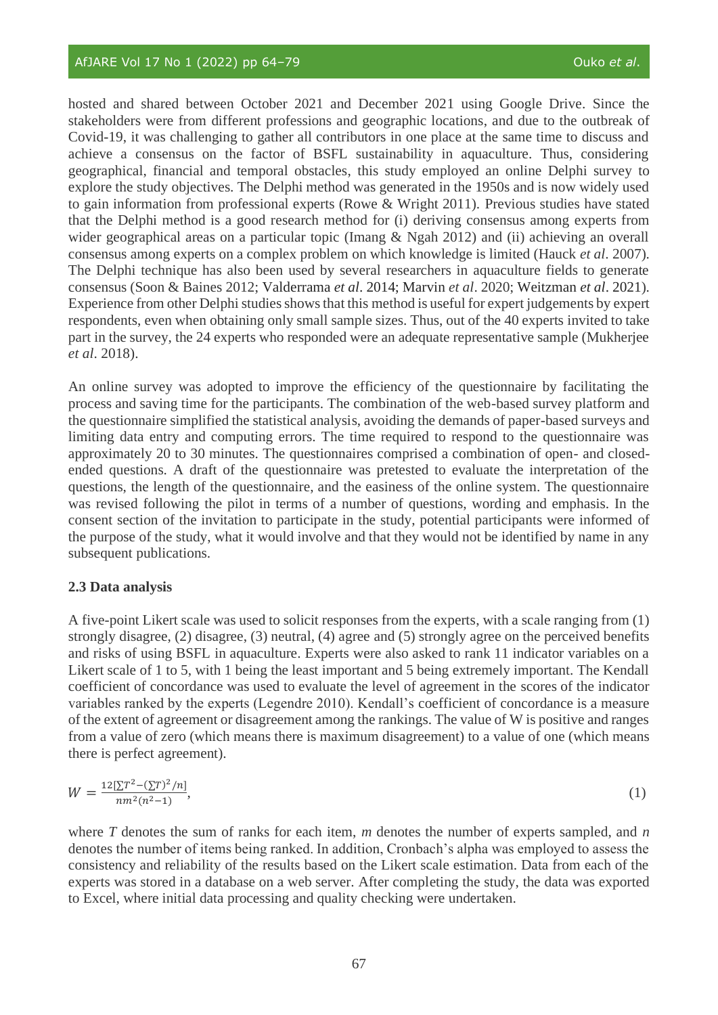hosted and shared between October 2021 and December 2021 using Google Drive. Since the stakeholders were from different professions and geographic locations, and due to the outbreak of Covid-19, it was challenging to gather all contributors in one place at the same time to discuss and achieve a consensus on the factor of BSFL sustainability in aquaculture. Thus, considering geographical, financial and temporal obstacles, this study employed an online Delphi survey to explore the study objectives. The Delphi method was generated in the 1950s and is now widely used to gain information from professional experts (Rowe & Wright 2011). Previous studies have stated that the Delphi method is a good research method for (i) deriving consensus among experts from wider geographical areas on a particular topic (Imang & Ngah 2012) and (ii) achieving an overall consensus among experts on a complex problem on which knowledge is limited (Hauck *et al*. 2007). The Delphi technique has also been used by several researchers in aquaculture fields to generate consensus (Soon & Baines 2012; Valderrama *et al*. 2014; Marvin *et al*. 2020; Weitzman *et al*. 2021). Experience from other Delphi studies shows that this method is useful for expert judgements by expert respondents, even when obtaining only small sample sizes. Thus, out of the 40 experts invited to take part in the survey, the 24 experts who responded were an adequate representative sample (Mukherjee *et al*. 2018).

An online survey was adopted to improve the efficiency of the questionnaire by facilitating the process and saving time for the participants. The combination of the web-based survey platform and the questionnaire simplified the statistical analysis, avoiding the demands of paper-based surveys and limiting data entry and computing errors. The time required to respond to the questionnaire was approximately 20 to 30 minutes. The questionnaires comprised a combination of open- and closedended questions. A draft of the questionnaire was pretested to evaluate the interpretation of the questions, the length of the questionnaire, and the easiness of the online system. The questionnaire was revised following the pilot in terms of a number of questions, wording and emphasis. In the consent section of the invitation to participate in the study, potential participants were informed of the purpose of the study, what it would involve and that they would not be identified by name in any subsequent publications.

#### **2.3 Data analysis**

A five-point Likert scale was used to solicit responses from the experts, with a scale ranging from (1) strongly disagree, (2) disagree, (3) neutral, (4) agree and (5) strongly agree on the perceived benefits and risks of using BSFL in aquaculture. Experts were also asked to rank 11 indicator variables on a Likert scale of 1 to 5, with 1 being the least important and 5 being extremely important. The Kendall coefficient of concordance was used to evaluate the level of agreement in the scores of the indicator variables ranked by the experts (Legendre 2010). Kendall's coefficient of concordance is a measure of the extent of agreement or disagreement among the rankings. The value of W is positive and ranges from a value of zero (which means there is maximum disagreement) to a value of one (which means there is perfect agreement).

$$
W = \frac{12[\sum T^2 - (\sum T)^2/n]}{nm^2(n^2 - 1)},
$$
\n(1)

where *T* denotes the sum of ranks for each item, *m* denotes the number of experts sampled, and *n*  denotes the number of items being ranked. In addition, Cronbach's alpha was employed to assess the consistency and reliability of the results based on the Likert scale estimation. Data from each of the experts was stored in a database on a web server. After completing the study, the data was exported to Excel, where initial data processing and quality checking were undertaken.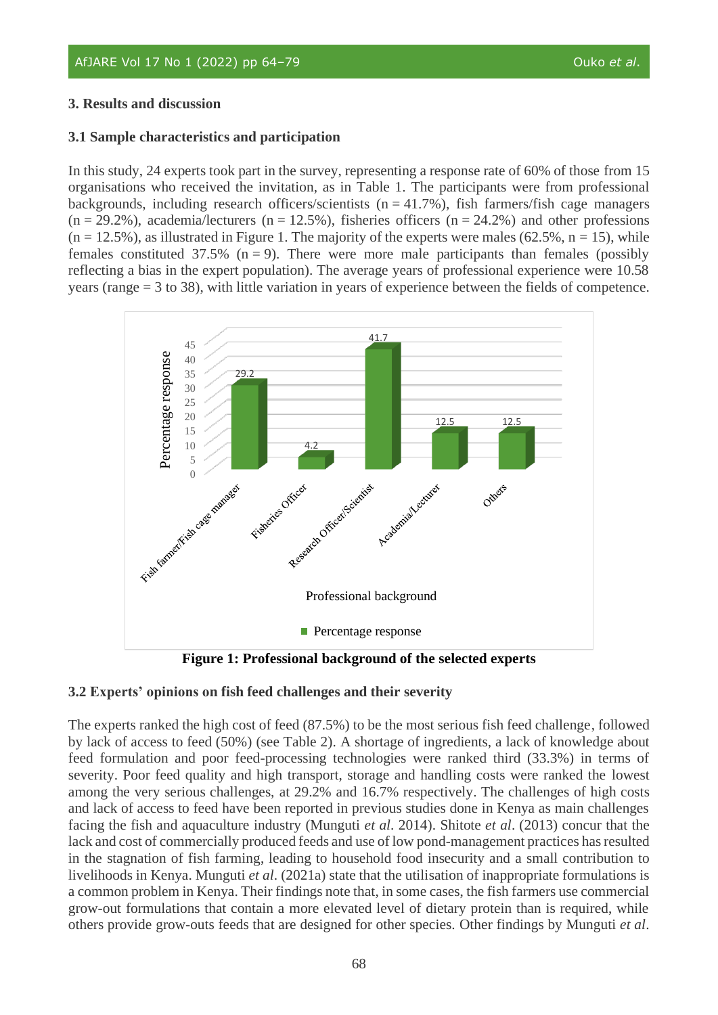# **3. Results and discussion**

# **3.1 Sample characteristics and participation**

In this study, 24 experts took part in the survey, representing a response rate of 60% of those from 15 organisations who received the invitation, as in Table 1. The participants were from professional backgrounds, including research officers/scientists ( $n = 41.7\%$ ), fish farmers/fish cage managers  $(n = 29.2\%)$ , academia/lecturers  $(n = 12.5\%)$ , fisheries officers  $(n = 24.2\%)$  and other professions  $(n = 12.5\%)$ , as illustrated in Figure 1. The majority of the experts were males (62.5%, n = 15), while females constituted 37.5% ( $n = 9$ ). There were more male participants than females (possibly reflecting a bias in the expert population). The average years of professional experience were 10.58 years (range = 3 to 38), with little variation in years of experience between the fields of competence.



**Figure 1: Professional background of the selected experts**

# **3.2 Experts' opinions on fish feed challenges and their severity**

The experts ranked the high cost of feed (87.5%) to be the most serious fish feed challenge, followed by lack of access to feed (50%) (see Table 2). A shortage of ingredients, a lack of knowledge about feed formulation and poor feed-processing technologies were ranked third (33.3%) in terms of severity. Poor feed quality and high transport, storage and handling costs were ranked the lowest among the very serious challenges, at 29.2% and 16.7% respectively. The challenges of high costs and lack of access to feed have been reported in previous studies done in Kenya as main challenges facing the fish and aquaculture industry (Munguti *et al*. 2014). Shitote *et al*. (2013) concur that the lack and cost of commercially produced feeds and use of low pond-management practices has resulted in the stagnation of fish farming, leading to household food insecurity and a small contribution to livelihoods in Kenya. Munguti *et al*. (2021a) state that the utilisation of inappropriate formulations is a common problem in Kenya. Their findings note that, in some cases, the fish farmers use commercial grow-out formulations that contain a more elevated level of dietary protein than is required, while others provide grow-outs feeds that are designed for other species. Other findings by Munguti *et al*.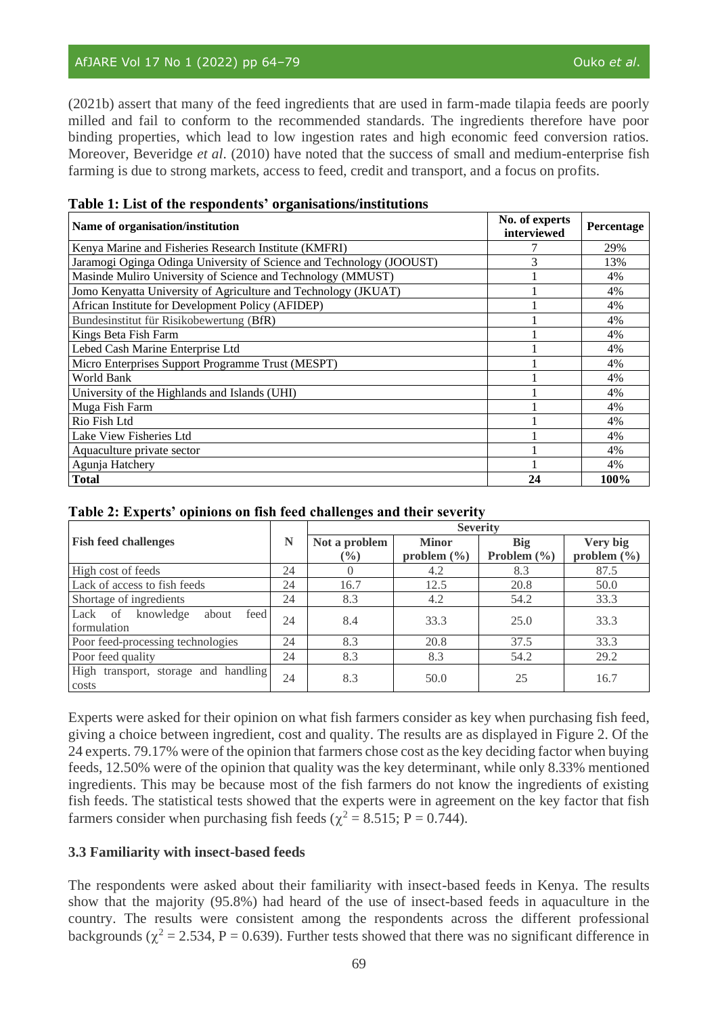(2021b) assert that many of the feed ingredients that are used in farm-made tilapia feeds are poorly milled and fail to conform to the recommended standards. The ingredients therefore have poor binding properties, which lead to low ingestion rates and high economic feed conversion ratios. Moreover, Beveridge *et al*. (2010) have noted that the success of small and medium-enterprise fish farming is due to strong markets, access to feed, credit and transport, and a focus on profits.

#### **Table 1: List of the respondents' organisations/institutions**

| Name of organisation/institution                                     | No. of experts<br>interviewed | Percentage |
|----------------------------------------------------------------------|-------------------------------|------------|
| Kenya Marine and Fisheries Research Institute (KMFRI)                |                               | 29%        |
| Jaramogi Oginga Odinga University of Science and Technology (JOOUST) | 3                             | 13%        |
| Masinde Muliro University of Science and Technology (MMUST)          |                               | 4%         |
| Jomo Kenyatta University of Agriculture and Technology (JKUAT)       |                               | 4%         |
| African Institute for Development Policy (AFIDEP)                    |                               | 4%         |
| Bundesinstitut für Risikobewertung (BfR)                             |                               | 4%         |
| Kings Beta Fish Farm                                                 |                               | 4%         |
| Lebed Cash Marine Enterprise Ltd                                     |                               | 4%         |
| Micro Enterprises Support Programme Trust (MESPT)                    |                               | 4%         |
| World Bank                                                           |                               | 4%         |
| University of the Highlands and Islands (UHI)                        |                               | 4%         |
| Muga Fish Farm                                                       |                               | 4%         |
| Rio Fish Ltd                                                         |                               | 4%         |
| Lake View Fisheries Ltd                                              |                               | 4%         |
| Aquaculture private sector                                           |                               | 4%         |
| Agunja Hatchery                                                      |                               | 4%         |
| <b>Total</b>                                                         | 24                            | 100%       |

|  | Table 2: Experts' opinions on fish feed challenges and their severity |  |  |
|--|-----------------------------------------------------------------------|--|--|
|  |                                                                       |  |  |

|                                                      |    | <b>Severity</b> |                 |                 |                 |  |
|------------------------------------------------------|----|-----------------|-----------------|-----------------|-----------------|--|
| <b>Fish feed challenges</b>                          | N  | Not a problem   | <b>Minor</b>    | <b>Big</b>      | Very big        |  |
|                                                      |    | $\frac{6}{6}$   | problem $(\% )$ | Problem $(\% )$ | problem $(\% )$ |  |
| High cost of feeds                                   | 24 | $\theta$        | 4.2             | 8.3             | 87.5            |  |
| Lack of access to fish feeds                         | 24 | 16.7            | 12.5            | 20.8            | 50.0            |  |
| Shortage of ingredients                              | 24 | 8.3             | 4.2             | 54.2            | 33.3            |  |
| knowledge<br>Lack of<br>about<br>feed<br>formulation | 24 | 8.4             | 33.3            | 25.0            | 33.3            |  |
| Poor feed-processing technologies                    | 24 | 8.3             | 20.8            | 37.5            | 33.3            |  |
| Poor feed quality                                    | 24 | 8.3             | 8.3             | 54.2            | 29.2            |  |
| High<br>transport, storage and handling<br>costs     | 24 | 8.3             | 50.0            | 25              | 16.7            |  |

Experts were asked for their opinion on what fish farmers consider as key when purchasing fish feed, giving a choice between ingredient, cost and quality. The results are as displayed in Figure 2. Of the 24 experts. 79.17% were of the opinion that farmers chose cost as the key deciding factor when buying feeds, 12.50% were of the opinion that quality was the key determinant, while only 8.33% mentioned ingredients. This may be because most of the fish farmers do not know the ingredients of existing fish feeds. The statistical tests showed that the experts were in agreement on the key factor that fish farmers consider when purchasing fish feeds ( $\chi^2$  = 8.515; P = 0.744).

# **3.3 Familiarity with insect-based feeds**

The respondents were asked about their familiarity with insect-based feeds in Kenya. The results show that the majority (95.8%) had heard of the use of insect-based feeds in aquaculture in the country. The results were consistent among the respondents across the different professional backgrounds ( $\chi^2$  = 2.534, P = 0.639). Further tests showed that there was no significant difference in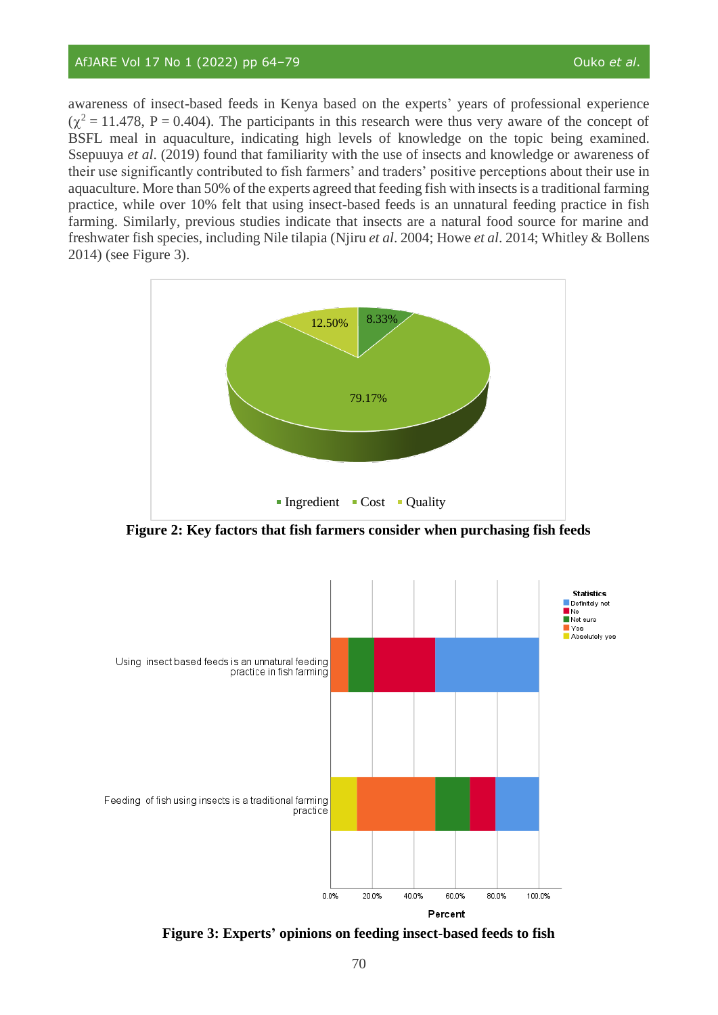awareness of insect-based feeds in Kenya based on the experts' years of professional experience  $(\chi^2 = 11.478, P = 0.404)$ . The participants in this research were thus very aware of the concept of BSFL meal in aquaculture, indicating high levels of knowledge on the topic being examined. Ssepuuya *et al*. (2019) found that familiarity with the use of insects and knowledge or awareness of their use significantly contributed to fish farmers' and traders' positive perceptions about their use in aquaculture. More than 50% of the experts agreed that feeding fish with insects is a traditional farming practice, while over 10% felt that using insect-based feeds is an unnatural feeding practice in fish farming. Similarly, previous studies indicate that insects are a natural food source for marine and freshwater fish species, including Nile tilapia (Njiru *et al*. 2004; Howe *et al*. 2014; Whitley & Bollens 2014) (see Figure 3).



**Figure 2: Key factors that fish farmers consider when purchasing fish feeds**



**Figure 3: Experts' opinions on feeding insect-based feeds to fish**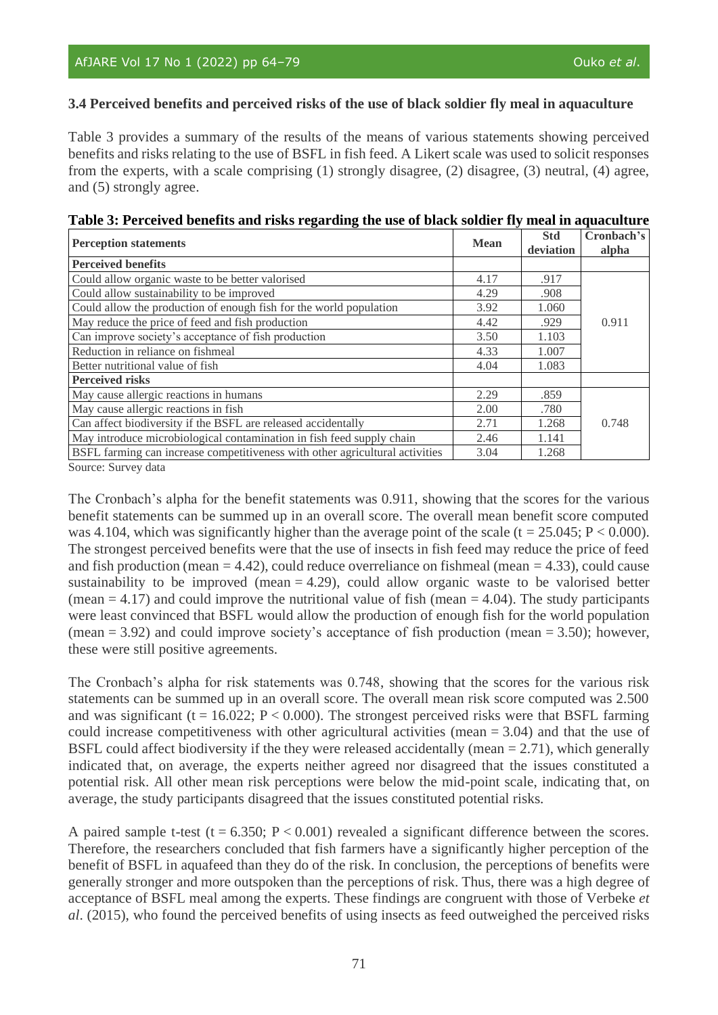# **3.4 Perceived benefits and perceived risks of the use of black soldier fly meal in aquaculture**

Table 3 provides a summary of the results of the means of various statements showing perceived benefits and risks relating to the use of BSFL in fish feed. A Likert scale was used to solicit responses from the experts, with a scale comprising (1) strongly disagree, (2) disagree, (3) neutral, (4) agree, and (5) strongly agree.

| <b>Perception statements</b>                                                 | <b>Mean</b> | <b>Std</b><br>deviation | Cronbach's<br>alpha |
|------------------------------------------------------------------------------|-------------|-------------------------|---------------------|
| <b>Perceived benefits</b>                                                    |             |                         |                     |
| Could allow organic waste to be better valorised                             | 4.17        | .917                    |                     |
| Could allow sustainability to be improved                                    | 4.29        | .908                    |                     |
| Could allow the production of enough fish for the world population           | 3.92        | 1.060                   |                     |
| May reduce the price of feed and fish production                             | 4.42        | .929                    | 0.911               |
| Can improve society's acceptance of fish production                          | 3.50        | 1.103                   |                     |
| Reduction in reliance on fishmeal                                            | 4.33        | 1.007                   |                     |
| Better nutritional value of fish                                             | 4.04        | 1.083                   |                     |
| <b>Perceived risks</b>                                                       |             |                         |                     |
| May cause allergic reactions in humans                                       | 2.29        | .859                    |                     |
| May cause allergic reactions in fish                                         | 2.00        | .780                    |                     |
| Can affect biodiversity if the BSFL are released accidentally                | 2.71        | 1.268                   | 0.748               |
| May introduce microbiological contamination in fish feed supply chain        | 2.46        | 1.141                   |                     |
| BSFL farming can increase competitiveness with other agricultural activities | 3.04        | 1.268                   |                     |

| Table 3: Perceived benefits and risks regarding the use of black soldier fly meal in aquaculture |  |  |  |
|--------------------------------------------------------------------------------------------------|--|--|--|
|                                                                                                  |  |  |  |

Source: Survey data

The Cronbach's alpha for the benefit statements was 0.911, showing that the scores for the various benefit statements can be summed up in an overall score. The overall mean benefit score computed was 4.104, which was significantly higher than the average point of the scale (t = 25.045;  $P < 0.000$ ). The strongest perceived benefits were that the use of insects in fish feed may reduce the price of feed and fish production (mean = 4.42), could reduce overreliance on fishmeal (mean = 4.33), could cause sustainability to be improved (mean  $= 4.29$ ), could allow organic waste to be valorised better (mean  $= 4.17$ ) and could improve the nutritional value of fish (mean  $= 4.04$ ). The study participants were least convinced that BSFL would allow the production of enough fish for the world population (mean  $= 3.92$ ) and could improve society's acceptance of fish production (mean  $= 3.50$ ); however, these were still positive agreements.

The Cronbach's alpha for risk statements was 0.748, showing that the scores for the various risk statements can be summed up in an overall score. The overall mean risk score computed was 2.500 and was significant ( $t = 16.022$ ;  $P < 0.000$ ). The strongest perceived risks were that BSFL farming could increase competitiveness with other agricultural activities (mean  $= 3.04$ ) and that the use of BSFL could affect biodiversity if the they were released accidentally (mean = 2.71), which generally indicated that, on average, the experts neither agreed nor disagreed that the issues constituted a potential risk. All other mean risk perceptions were below the mid-point scale, indicating that, on average, the study participants disagreed that the issues constituted potential risks.

A paired sample t-test (t =  $6.350$ ; P < 0.001) revealed a significant difference between the scores. Therefore, the researchers concluded that fish farmers have a significantly higher perception of the benefit of BSFL in aquafeed than they do of the risk. In conclusion, the perceptions of benefits were generally stronger and more outspoken than the perceptions of risk. Thus, there was a high degree of acceptance of BSFL meal among the experts. These findings are congruent with those of Verbeke *et al*. (2015), who found the perceived benefits of using insects as feed outweighed the perceived risks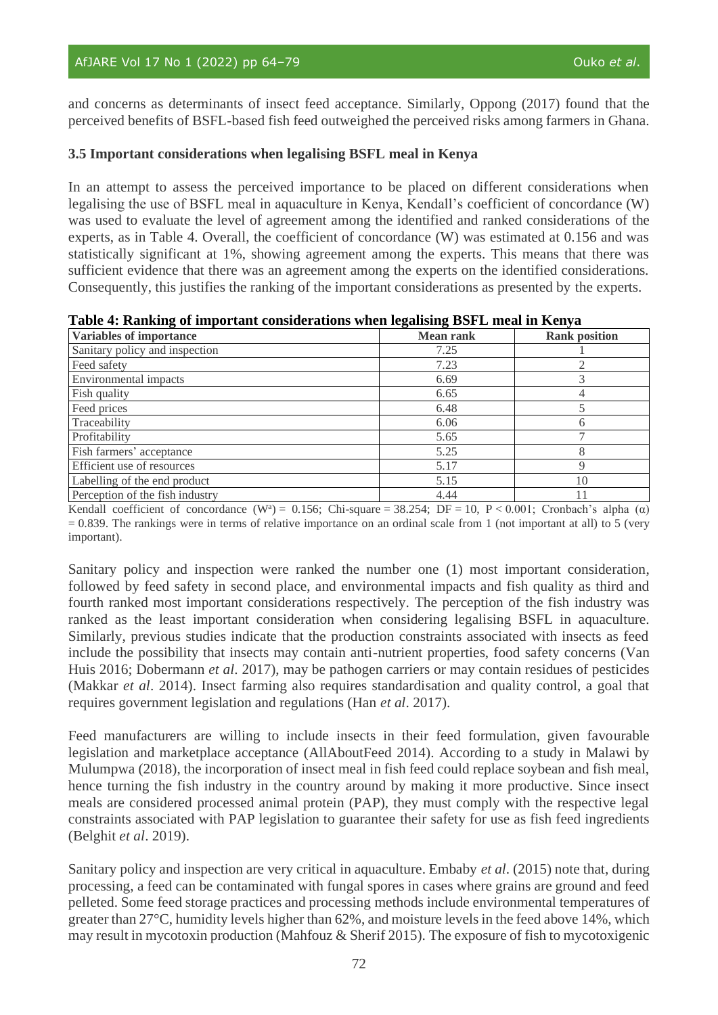and concerns as determinants of insect feed acceptance. Similarly, Oppong (2017) found that the perceived benefits of BSFL-based fish feed outweighed the perceived risks among farmers in Ghana.

# **3.5 Important considerations when legalising BSFL meal in Kenya**

In an attempt to assess the perceived importance to be placed on different considerations when legalising the use of BSFL meal in aquaculture in Kenya, Kendall's coefficient of concordance (W) was used to evaluate the level of agreement among the identified and ranked considerations of the experts, as in Table 4. Overall, the coefficient of concordance (W) was estimated at 0.156 and was statistically significant at 1%, showing agreement among the experts. This means that there was sufficient evidence that there was an agreement among the experts on the identified considerations. Consequently, this justifies the ranking of the important considerations as presented by the experts.

|  | Table 4: Ranking of important considerations when legalising BSFL meal in Kenya |  |  |
|--|---------------------------------------------------------------------------------|--|--|
|  |                                                                                 |  |  |

| <b>Variables of importance</b>  | <b>Mean rank</b> | <b>Rank position</b> |
|---------------------------------|------------------|----------------------|
| Sanitary policy and inspection  | 7.25             |                      |
| Feed safety                     | 7.23             |                      |
| Environmental impacts           | 6.69             |                      |
| Fish quality                    | 6.65             |                      |
| Feed prices                     | 6.48             |                      |
| Traceability                    | 6.06             |                      |
| Profitability                   | 5.65             |                      |
| Fish farmers' acceptance        | 5.25             |                      |
| Efficient use of resources      | 5.17             |                      |
| Labelling of the end product    | 5.15             | 10                   |
| Perception of the fish industry | 4.44             |                      |

Kendall coefficient of concordance (W<sup>a</sup>) = 0.156; Chi-square = 38.254; DF = 10, P < 0.001; Cronbach's alpha ( $\alpha$ )  $= 0.839$ . The rankings were in terms of relative importance on an ordinal scale from 1 (not important at all) to 5 (very important).

Sanitary policy and inspection were ranked the number one (1) most important consideration, followed by feed safety in second place, and environmental impacts and fish quality as third and fourth ranked most important considerations respectively. The perception of the fish industry was ranked as the least important consideration when considering legalising BSFL in aquaculture. Similarly, previous studies indicate that the production constraints associated with insects as feed include the possibility that insects may contain anti-nutrient properties, food safety concerns (Van Huis 2016; Dobermann *et al*. 2017), may be pathogen carriers or may contain residues of pesticides (Makkar *et al*. 2014). Insect farming also requires standardisation and quality control, a goal that requires government legislation and regulations (Han *et al*. 2017).

Feed manufacturers are willing to include insects in their feed formulation, given favourable legislation and marketplace acceptance (AllAboutFeed 2014). According to a study in Malawi by Mulumpwa (2018), the incorporation of insect meal in fish feed could replace soybean and fish meal, hence turning the fish industry in the country around by making it more productive. Since insect meals are considered processed animal protein (PAP), they must comply with the respective legal constraints associated with PAP legislation to guarantee their safety for use as fish feed ingredients (Belghit *et al*. 2019).

Sanitary policy and inspection are very critical in aquaculture. Embaby *et al*. (2015) note that, during processing, a feed can be contaminated with fungal spores in cases where grains are ground and feed pelleted. Some feed storage practices and processing methods include environmental temperatures of greater than 27°C, humidity levels higher than 62%, and moisture levels in the feed above 14%, which may result in mycotoxin production (Mahfouz & Sherif 2015). The exposure of fish to mycotoxigenic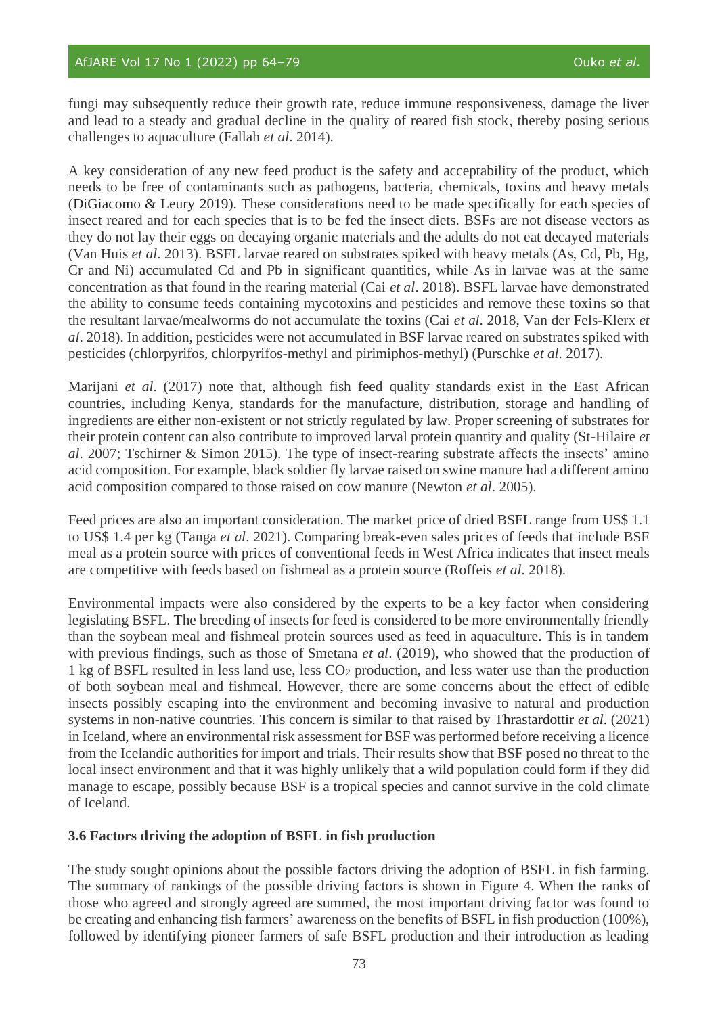fungi may subsequently reduce their growth rate, reduce immune responsiveness, damage the liver and lead to a steady and gradual decline in the quality of reared fish stock, thereby posing serious challenges to aquaculture (Fallah *et al*. 2014).

A key consideration of any new feed product is the safety and acceptability of the product, which needs to be free of contaminants such as pathogens, bacteria, chemicals, toxins and heavy metals (DiGiacomo & Leury 2019). These considerations need to be made specifically for each species of insect reared and for each species that is to be fed the insect diets. BSFs are not disease vectors as they do not lay their eggs on decaying organic materials and the adults do not eat decayed materials (Van Huis *et al*. 2013). BSFL larvae reared on substrates spiked with heavy metals (As, Cd, Pb, Hg, Cr and Ni) accumulated Cd and Pb in significant quantities, while As in larvae was at the same concentration as that found in the rearing material (Cai *et al*. 2018). BSFL larvae have demonstrated the ability to consume feeds containing mycotoxins and pesticides and remove these toxins so that the resultant larvae/mealworms do not accumulate the toxins (Cai *et al*. 2018, Van der Fels-Klerx *et al*. 2018). In addition, pesticides were not accumulated in BSF larvae reared on substrates spiked with pesticides (chlorpyrifos, chlorpyrifos-methyl and pirimiphos-methyl) (Purschke *et al*. 2017).

Marijani *et al*. (2017) note that, although fish feed quality standards exist in the East African countries, including Kenya, standards for the manufacture, distribution, storage and handling of ingredients are either non-existent or not strictly regulated by law. Proper screening of substrates for their protein content can also contribute to improved larval protein quantity and quality (St-Hilaire *et al*. 2007; Tschirner & Simon 2015). The type of insect-rearing substrate affects the insects' amino acid composition. For example, black soldier fly larvae raised on swine manure had a different amino acid composition compared to those raised on cow manure (Newton *et al*. 2005).

Feed prices are also an important consideration. The market price of dried BSFL range from US\$ 1.1 to US\$ 1.4 per kg (Tanga *et al*. 2021). Comparing break-even sales prices of feeds that include BSF meal as a protein source with prices of conventional feeds in West Africa indicates that insect meals are competitive with feeds based on fishmeal as a protein source (Roffeis *et al*. 2018).

Environmental impacts were also considered by the experts to be a key factor when considering legislating BSFL. The breeding of insects for feed is considered to be more environmentally friendly than the soybean meal and fishmeal protein sources used as feed in aquaculture. This is in tandem with previous findings, such as those of Smetana *et al*. (2019), who showed that the production of 1 kg of BSFL resulted in less land use, less CO<sup>2</sup> production, and less water use than the production of both soybean meal and fishmeal. However, there are some concerns about the effect of edible insects possibly escaping into the environment and becoming invasive to natural and production systems in non-native countries. This concern is similar to that raised by Thrastardottir *et al*. (2021) in Iceland, where an environmental risk assessment for BSF was performed before receiving a licence from the Icelandic authorities for import and trials. Their results show that BSF posed no threat to the local insect environment and that it was highly unlikely that a wild population could form if they did manage to escape, possibly because BSF is a tropical species and cannot survive in the cold climate of Iceland.

# **3.6 Factors driving the adoption of BSFL in fish production**

The study sought opinions about the possible factors driving the adoption of BSFL in fish farming. The summary of rankings of the possible driving factors is shown in Figure 4. When the ranks of those who agreed and strongly agreed are summed, the most important driving factor was found to be creating and enhancing fish farmers' awareness on the benefits of BSFL in fish production (100%), followed by identifying pioneer farmers of safe BSFL production and their introduction as leading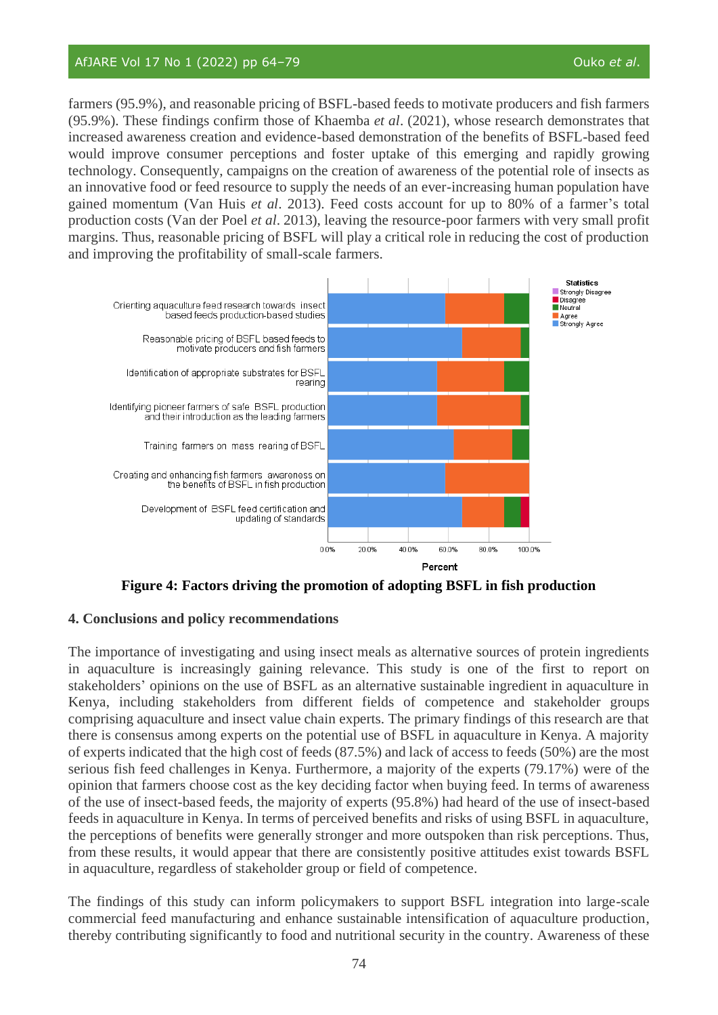farmers (95.9%), and reasonable pricing of BSFL-based feeds to motivate producers and fish farmers (95.9%). These findings confirm those of Khaemba *et al*. (2021), whose research demonstrates that increased awareness creation and evidence-based demonstration of the benefits of BSFL-based feed would improve consumer perceptions and foster uptake of this emerging and rapidly growing technology. Consequently, campaigns on the creation of awareness of the potential role of insects as an innovative food or feed resource to supply the needs of an ever-increasing human population have gained momentum (Van Huis *et al*. 2013). Feed costs account for up to 80% of a farmer's total production costs (Van der Poel *et al*. 2013), leaving the resource-poor farmers with very small profit margins. Thus, reasonable pricing of BSFL will play a critical role in reducing the cost of production and improving the profitability of small-scale farmers.



**Figure 4: Factors driving the promotion of adopting BSFL in fish production**

# **4. Conclusions and policy recommendations**

The importance of investigating and using insect meals as alternative sources of protein ingredients in aquaculture is increasingly gaining relevance. This study is one of the first to report on stakeholders' opinions on the use of BSFL as an alternative sustainable ingredient in aquaculture in Kenya, including stakeholders from different fields of competence and stakeholder groups comprising aquaculture and insect value chain experts. The primary findings of this research are that there is consensus among experts on the potential use of BSFL in aquaculture in Kenya. A majority of experts indicated that the high cost of feeds (87.5%) and lack of access to feeds (50%) are the most serious fish feed challenges in Kenya. Furthermore, a majority of the experts (79.17%) were of the opinion that farmers choose cost as the key deciding factor when buying feed. In terms of awareness of the use of insect-based feeds, the majority of experts (95.8%) had heard of the use of insect-based feeds in aquaculture in Kenya. In terms of perceived benefits and risks of using BSFL in aquaculture, the perceptions of benefits were generally stronger and more outspoken than risk perceptions. Thus, from these results, it would appear that there are consistently positive attitudes exist towards BSFL in aquaculture, regardless of stakeholder group or field of competence.

The findings of this study can inform policymakers to support BSFL integration into large-scale commercial feed manufacturing and enhance sustainable intensification of aquaculture production, thereby contributing significantly to food and nutritional security in the country. Awareness of these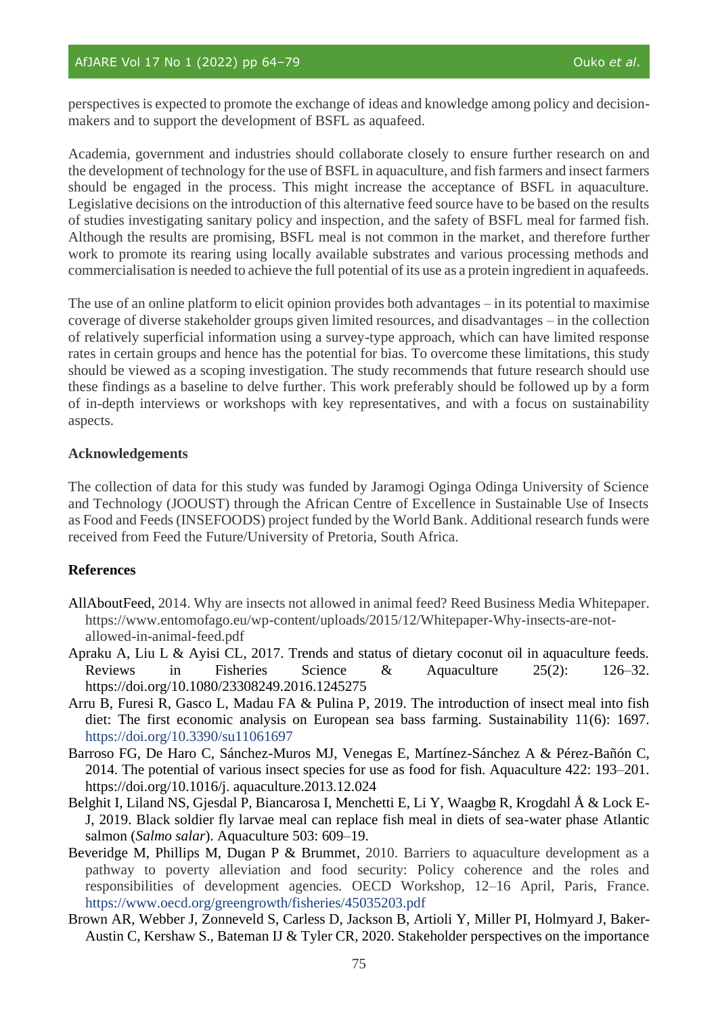perspectives is expected to promote the exchange of ideas and knowledge among policy and decisionmakers and to support the development of BSFL as aquafeed.

Academia, government and industries should collaborate closely to ensure further research on and the development of technology for the use of BSFL in aquaculture, and fish farmers and insect farmers should be engaged in the process. This might increase the acceptance of BSFL in aquaculture. Legislative decisions on the introduction of this alternative feed source have to be based on the results of studies investigating sanitary policy and inspection, and the safety of BSFL meal for farmed fish. Although the results are promising, BSFL meal is not common in the market, and therefore further work to promote its rearing using locally available substrates and various processing methods and commercialisation is needed to achieve the full potential of its use as a protein ingredient in aquafeeds.

The use of an online platform to elicit opinion provides both advantages – in its potential to maximise coverage of diverse stakeholder groups given limited resources, and disadvantages – in the collection of relatively superficial information using a survey-type approach, which can have limited response rates in certain groups and hence has the potential for bias. To overcome these limitations, this study should be viewed as a scoping investigation. The study recommends that future research should use these findings as a baseline to delve further. This work preferably should be followed up by a form of in-depth interviews or workshops with key representatives, and with a focus on sustainability aspects.

# **Acknowledgements**

The collection of data for this study was funded by Jaramogi Oginga Odinga University of Science and Technology (JOOUST) through the African Centre of Excellence in Sustainable Use of Insects as Food and Feeds (INSEFOODS) project funded by the World Bank. Additional research funds were received from Feed the Future/University of Pretoria, South Africa.

# **References**

- AllAboutFeed, 2014. Why are insects not allowed in animal feed? Reed Business Media Whitepaper. https://www.entomofago.eu/wp-content/uploads/2015/12/Whitepaper-Why-insects-are-notallowed-in-animal-feed.pdf
- Apraku A, Liu L & Ayisi CL, 2017. Trends and status of dietary coconut oil in aquaculture feeds. Reviews in Fisheries Science & Aquaculture 25(2): 126–32. <https://doi.org/10.1080/23308249.2016.1245275>
- Arru B, Furesi R, Gasco L, Madau FA & Pulina P, 2019. The introduction of insect meal into fish diet: The first economic analysis on European sea bass farming. Sustainability 11(6): 1697. <https://doi.org/10.3390/su11061697>
- Barroso FG, De Haro C, Sánchez-Muros MJ, Venegas E, Martínez-Sánchez A & Pérez-Bañón C, 2014. The potential of various insect species for use as food for fish. Aquaculture 422: 193–201. https://doi.org/10.1016/j. aquaculture.2013.12.024
- Belghit I, Liland NS, Gjesdal P, Biancarosa I, Menchetti E, Li Y, Waag[bø](https://www.sciencedirect.com/science/article/pii/S0044848618322208#!) R, Krogdahl Å & Lock E-J, 2019. Black soldier fly larvae meal can replace fish meal in diets of sea-water phase Atlantic salmon (*Salmo salar*). Aquaculture 503: 609–19.
- Beveridge M, Phillips M, Dugan P & Brummet, 2010. Barriers to aquaculture development as a pathway to poverty alleviation and food security: Policy coherence and the roles and responsibilities of development agencies. OECD Workshop, 12–16 April, Paris, France. <https://www.oecd.org/greengrowth/fisheries/45035203.pdf>
- Brown AR, Webber J, Zonneveld S, Carless D, Jackson B, Artioli Y, Miller PI, Holmyard J, Baker-Austin C, Kershaw S., Bateman IJ & Tyler CR, 2020. Stakeholder perspectives on the importance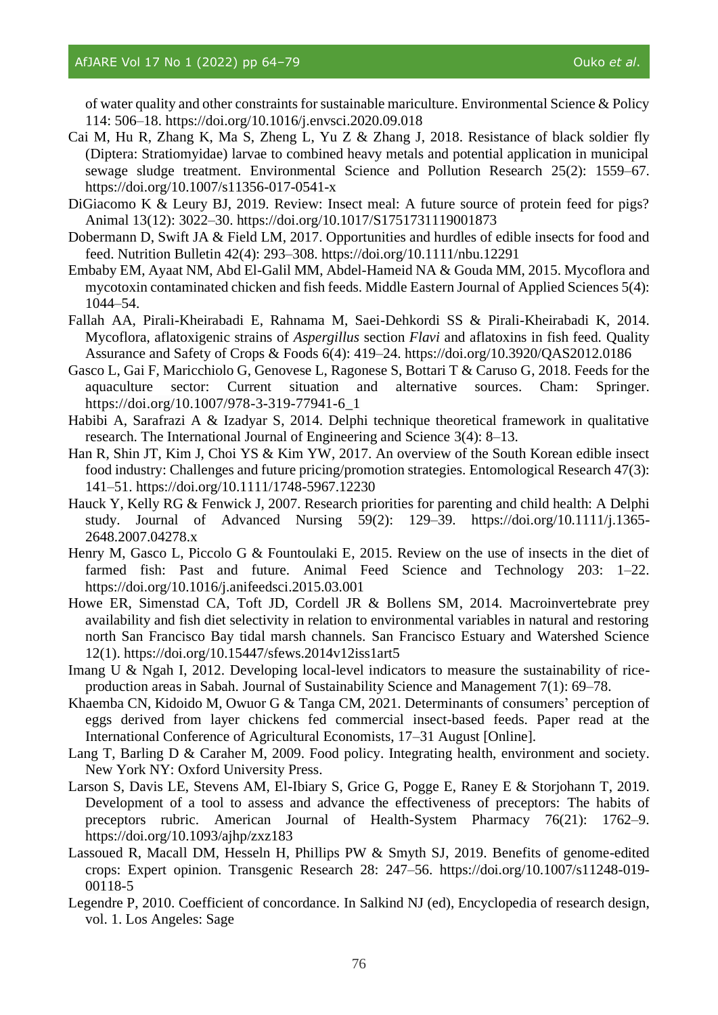of water quality and other constraints for sustainable mariculture. Environmental Science & Policy 114: 506–18.<https://doi.org/10.1016/j.envsci.2020.09.018>

- Cai M, Hu R, Zhang K, Ma S, Zheng L, Yu Z & Zhang J, 2018. Resistance of black soldier fly (Diptera: Stratiomyidae) larvae to combined heavy metals and potential application in municipal sewage sludge treatment. Environmental Science and Pollution Research 25(2): 1559–67. https://doi.org/10.1007/s11356-017-0541-x
- DiGiacomo K & Leury BJ, 2019. Review: Insect meal: A future source of protein feed for pigs? Animal 13(12): 3022–30.<https://doi.org/10.1017/S1751731119001873>
- Dobermann D, Swift JA & Field LM, 2017. Opportunities and hurdles of edible insects for food and feed. Nutrition Bulletin 42(4): 293–308.<https://doi.org/10.1111/nbu.12291>
- Embaby EM, Ayaat NM, Abd El-Galil MM, Abdel-Hameid NA & Gouda MM, 2015. Mycoflora and mycotoxin contaminated chicken and fish feeds. Middle Eastern Journal of Applied Sciences 5(4): 1044–54.
- Fallah AA, Pirali-Kheirabadi E, Rahnama M, Saei-Dehkordi SS & Pirali-Kheirabadi K, 2014. Mycoflora, aflatoxigenic strains of *Aspergillus* section *Flavi* and aflatoxins in fish feed. Quality Assurance and Safety of Crops & Foods 6(4): 419–24.<https://doi.org/10.3920/QAS2012.0186>
- Gasco L, Gai F, Maricchiolo G, Genovese L, Ragonese S, Bottari T & Caruso G, 2018. Feeds for the aquaculture sector: Current situation and alternative sources. Cham: Springer. [https://doi.org/10.1007/978-3-319-77941-6\\_1](https://doi.org/10.1007/978-3-319-77941-6_1)
- Habibi A, Sarafrazi A & Izadyar S, 2014. Delphi technique theoretical framework in qualitative research. The International Journal of Engineering and Science 3(4): 8–13.
- Han R, Shin JT, Kim J, Choi YS & Kim YW, 2017. An overview of the South Korean edible insect food industry: Challenges and future pricing/promotion strategies. Entomological Research 47(3): 141–51.<https://doi.org/10.1111/1748-5967.12230>
- Hauck Y, Kelly RG & Fenwick J, 2007. Research priorities for parenting and child health: A Delphi study. Journal of Advanced Nursing 59(2): 129–39. [https://doi.org/10.1111/j.1365-](https://doi.org/10.1111/j.1365-2648.2007.04278.x) [2648.2007.04278.x](https://doi.org/10.1111/j.1365-2648.2007.04278.x)
- Henry M, Gasco L, Piccolo G & Fountoulaki E, 2015. Review on the use of insects in the diet of farmed fish: Past and future. Animal Feed Science and Technology 203: 1–22. <https://doi.org/10.1016/j.anifeedsci.2015.03.001>
- Howe ER, Simenstad CA, Toft JD, Cordell JR & Bollens SM, 2014. Macroinvertebrate prey availability and fish diet selectivity in relation to environmental variables in natural and restoring north San Francisco Bay tidal marsh channels. San Francisco Estuary and Watershed Science 12(1).<https://doi.org/10.15447/sfews.2014v12iss1art5>
- Imang U & Ngah I, 2012. Developing local-level indicators to measure the sustainability of riceproduction areas in Sabah. Journal of Sustainability Science and Management 7(1): 69–78.
- Khaemba CN, Kidoido M, Owuor G & Tanga CM, 2021. Determinants of consumers' perception of eggs derived from layer chickens fed commercial insect-based feeds. Paper read at the International Conference of Agricultural Economists, 17–31 August [Online].
- Lang T, Barling D & Caraher M, 2009. Food policy. Integrating health, environment and society. New York NY: Oxford University Press.
- Larson S, Davis LE, Stevens AM, El-Ibiary S, Grice G, Pogge E, Raney E & Storjohann T, 2019. Development of a tool to assess and advance the effectiveness of preceptors: The habits of preceptors rubric. American Journal of Health-System Pharmacy 76(21): 1762–9. <https://doi.org/10.1093/ajhp/zxz183>
- Lassoued R, Macall DM, Hesseln H, Phillips PW & Smyth SJ, 2019. Benefits of genome-edited crops: Expert opinion. Transgenic Research 28: 247–56. [https://doi.org/10.1007/s11248-019-](https://doi.org/10.1007/s11248-019-00118-5) [00118-5](https://doi.org/10.1007/s11248-019-00118-5)
- Legendre P, 2010. Coefficient of concordance. In Salkind NJ (ed), Encyclopedia of research design, vol. 1. Los Angeles: Sage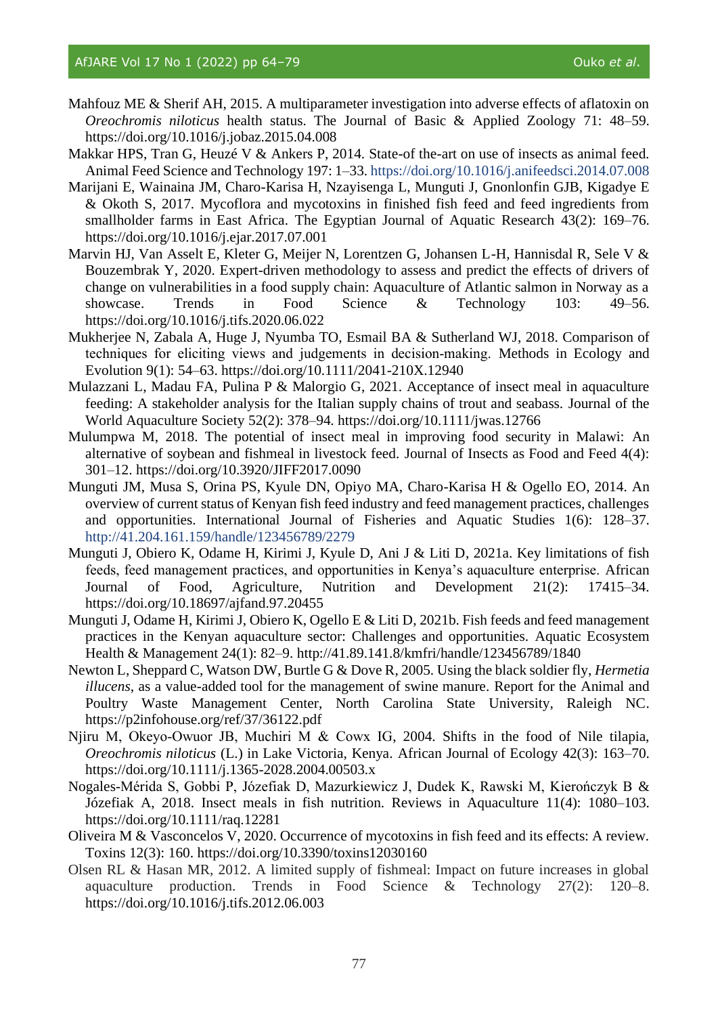- Mahfouz ME & Sherif AH, 2015. A multiparameter investigation into adverse effects of aflatoxin on *Oreochromis niloticus* health status. The Journal of Basic & Applied Zoology 71: 48–59. <https://doi.org/10.1016/j.jobaz.2015.04.008>
- Makkar HPS, Tran G, Heuzé V & Ankers P, 2014. State-of the-art on use of insects as animal feed. Animal Feed Science and Technology 197: 1–33.<https://doi.org/10.1016/j.anifeedsci.2014.07.008>
- Marijani E, Wainaina JM, Charo-Karisa H, Nzayisenga L, Munguti J, Gnonlonfin GJB, Kigadye E & Okoth S, 2017. Mycoflora and mycotoxins in finished fish feed and feed ingredients from smallholder farms in East Africa. The Egyptian Journal of Aquatic Research 43(2): 169–76. <https://doi.org/10.1016/j.ejar.2017.07.001>
- Marvin HJ, Van Asselt E, Kleter G, Meijer N, Lorentzen G, Johansen L-H, Hannisdal R, Sele V & Bouzembrak Y, 2020. Expert-driven methodology to assess and predict the effects of drivers of change on vulnerabilities in a food supply chain: Aquaculture of Atlantic salmon in Norway as a showcase. Trends in Food Science & Technology 103: 49–56. <https://doi.org/10.1016/j.tifs.2020.06.022>
- Mukherjee N, Zabala A, Huge J, Nyumba TO, Esmail BA & Sutherland WJ, 2018. Comparison of techniques for eliciting views and judgements in decision‐making. Methods in Ecology and Evolution 9(1): 54–63.<https://doi.org/10.1111/2041-210X.12940>
- Mulazzani L, Madau FA, Pulina P & Malorgio G, 2021. Acceptance of insect meal in aquaculture feeding: A stakeholder analysis for the Italian supply chains of trout and seabass. Journal of the World Aquaculture Society 52(2): 378–94. <https://doi.org/10.1111/jwas.12766>
- Mulumpwa M, 2018. The potential of insect meal in improving food security in Malawi: An alternative of soybean and fishmeal in livestock feed. Journal of Insects as Food and Feed 4(4): 301–12.<https://doi.org/10.3920/JIFF2017.0090>
- Munguti JM, Musa S, Orina PS, Kyule DN, Opiyo MA, Charo-Karisa H & Ogello EO, 2014. An overview of current status of Kenyan fish feed industry and feed management practices, challenges and opportunities. International Journal of Fisheries and Aquatic Studies 1(6): 128–37. <http://41.204.161.159/handle/123456789/2279>
- Munguti J, Obiero K, Odame H, Kirimi J, Kyule D, Ani J & Liti D, 2021a. Key limitations of fish feeds, feed management practices, and opportunities in Kenya's aquaculture enterprise. African Journal of Food, Agriculture, Nutrition and Development 21(2): 17415–34. <https://doi.org/10.18697/ajfand.97.20455>
- Munguti J, Odame H, Kirimi J, Obiero K, Ogello E & Liti D, 2021b. Fish feeds and feed management practices in the Kenyan aquaculture sector: Challenges and opportunities. Aquatic Ecosystem Health & Management 24(1): 82–9. http://41.89.141.8/kmfri/handle/123456789/1840
- Newton L, Sheppard C, Watson DW, Burtle G & Dove R, 2005. Using the black soldier fly, *Hermetia illucens*, as a value-added tool for the management of swine manure. Report for the Animal and Poultry Waste Management Center, North Carolina State University, Raleigh NC. https://p2infohouse.org/ref/37/36122.pdf
- Njiru M, Okeyo-Owuor JB, Muchiri M & Cowx IG, 2004. Shifts in the food of Nile tilapia, *Oreochromis niloticus* (L.) in Lake Victoria, Kenya. African Journal of Ecology 42(3): 163–70. <https://doi.org/10.1111/j.1365-2028.2004.00503.x>
- Nogales-Mérida S, Gobbi P, Józefiak D, Mazurkiewicz J, Dudek K, Rawski M, Kierończyk B & Józefiak A, 2018. Insect meals in fish nutrition. Reviews in Aquaculture 11(4): 1080–103. <https://doi.org/10.1111/raq.12281>
- Oliveira M & Vasconcelos V, 2020. Occurrence of mycotoxins in fish feed and its effects: A review. Toxins 12(3): 160. <https://doi.org/10.3390/toxins12030160>
- Olsen RL & Hasan MR, 2012. A limited supply of fishmeal: Impact on future increases in global aquaculture production. Trends in Food Science & Technology 27(2): 120–8. <https://doi.org/10.1016/j.tifs.2012.06.003>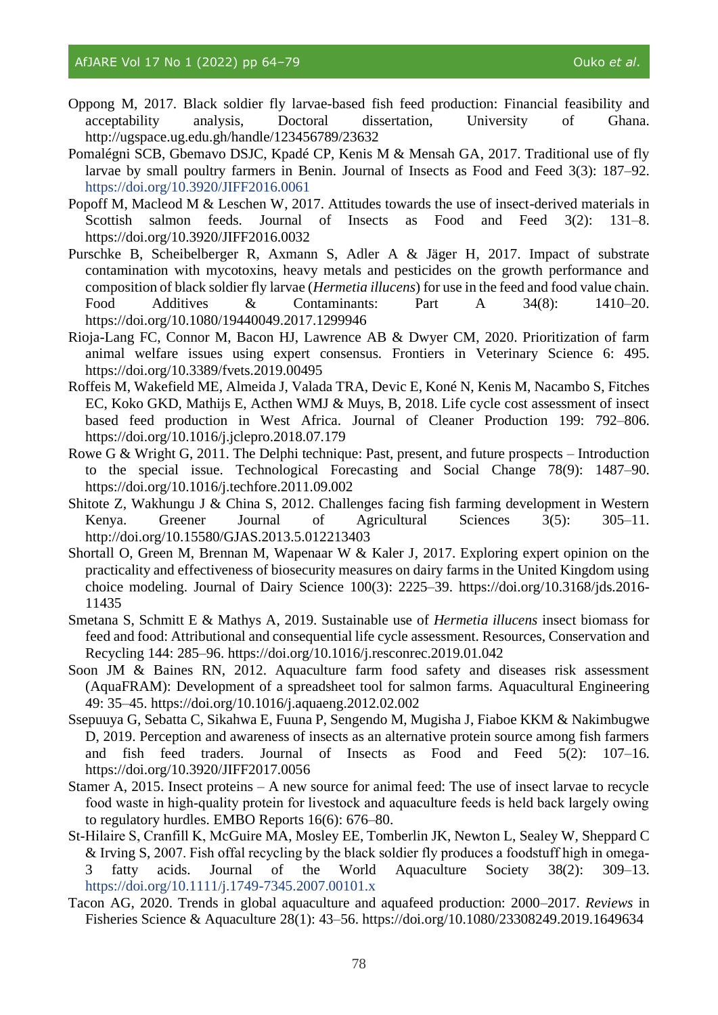- Oppong M, 2017. Black soldier fly larvae-based fish feed production: Financial feasibility and acceptability analysis, Doctoral dissertation, University of Ghana. <http://ugspace.ug.edu.gh/handle/123456789/23632>
- Pomalégni SCB, Gbemavo DSJC, Kpadé CP, Kenis M & Mensah GA, 2017. Traditional use of fly larvae by small poultry farmers in Benin. Journal of Insects as Food and Feed 3(3): 187–92. <https://doi.org/10.3920/JIFF2016.0061>
- Popoff M, Macleod M & Leschen W, 2017. Attitudes towards the use of insect-derived materials in Scottish salmon feeds. Journal of Insects as Food and Feed 3(2): 131-8. <https://doi.org/10.3920/JIFF2016.0032>
- Purschke B, Scheibelberger R, Axmann S, Adler A & Jäger H, 2017. Impact of substrate contamination with mycotoxins, heavy metals and pesticides on the growth performance and composition of black soldier fly larvae (*Hermetia illucens*) for use in the feed and food value chain. Food Additives & Contaminants: Part A 34(8): 1410–20. <https://doi.org/10.1080/19440049.2017.1299946>
- Rioja-Lang FC, Connor M, Bacon HJ, Lawrence AB & Dwyer CM, 2020. Prioritization of farm animal welfare issues using expert consensus. Frontiers in Veterinary Science 6: 495. <https://doi.org/10.3389/fvets.2019.00495>
- Roffeis M, Wakefield ME, Almeida J, Valada TRA, Devic E, Koné N, Kenis M, Nacambo S, Fitches EC, Koko GKD, Mathijs E, Acthen WMJ & Muys, B, 2018. Life cycle cost assessment of insect based feed production in West Africa. Journal of Cleaner Production 199: 792–806. <https://doi.org/10.1016/j.jclepro.2018.07.179>
- Rowe G & Wright G, 2011. The Delphi technique: Past, present, and future prospects Introduction to the special issue. Technological Forecasting and Social Change 78(9): 1487–90. <https://doi.org/10.1016/j.techfore.2011.09.002>
- Shitote Z, Wakhungu J & China S, 2012. Challenges facing fish farming development in Western Kenya. Greener Journal of Agricultural Sciences 3(5): 305–11. <http://doi.org/10.15580/GJAS.2013.5.012213403>
- Shortall O, Green M, Brennan M, Wapenaar W & Kaler J, 2017. Exploring expert opinion on the practicality and effectiveness of biosecurity measures on dairy farms in the United Kingdom using choice modeling. Journal of Dairy Science 100(3): 2225–39. [https://doi.org/10.3168/jds.2016-](https://doi.org/10.3168/jds.2016-11435) [11435](https://doi.org/10.3168/jds.2016-11435)
- Smetana S, Schmitt E & Mathys A, 2019. Sustainable use of *Hermetia illucens* insect biomass for feed and food: Attributional and consequential life cycle assessment. Resources, Conservation and Recycling 144: 285–96.<https://doi.org/10.1016/j.resconrec.2019.01.042>
- Soon JM & Baines RN, 2012. Aquaculture farm food safety and diseases risk assessment (AquaFRAM): Development of a spreadsheet tool for salmon farms. Aquacultural Engineering 49: 35–45. <https://doi.org/10.1016/j.aquaeng.2012.02.002>
- Ssepuuya G, Sebatta C, Sikahwa E, Fuuna P, Sengendo M, Mugisha J, Fiaboe KKM & Nakimbugwe D, 2019. Perception and awareness of insects as an alternative protein source among fish farmers and fish feed traders. Journal of Insects as Food and Feed 5(2): 107–16. <https://doi.org/10.3920/JIFF2017.0056>
- Stamer A, 2015. Insect proteins A new source for animal feed: The use of insect larvae to recycle food waste in high‐quality protein for livestock and aquaculture feeds is held back largely owing to regulatory hurdles. EMBO Reports 16(6): 676–80.
- St‐Hilaire S, Cranfill K, McGuire MA, Mosley EE, Tomberlin JK, Newton L, Sealey W, Sheppard C & Irving S, 2007. Fish offal recycling by the black soldier fly produces a foodstuff high in omega‐ 3 fatty acids. Journal of the World Aquaculture Society 38(2): 309–13. <https://doi.org/10.1111/j.1749-7345.2007.00101.x>
- Tacon AG, 2020. Trends in global aquaculture and aquafeed production: 2000–2017. *Reviews* in Fisheries Science & Aquaculture 28(1): 43–56.<https://doi.org/10.1080/23308249.2019.1649634>